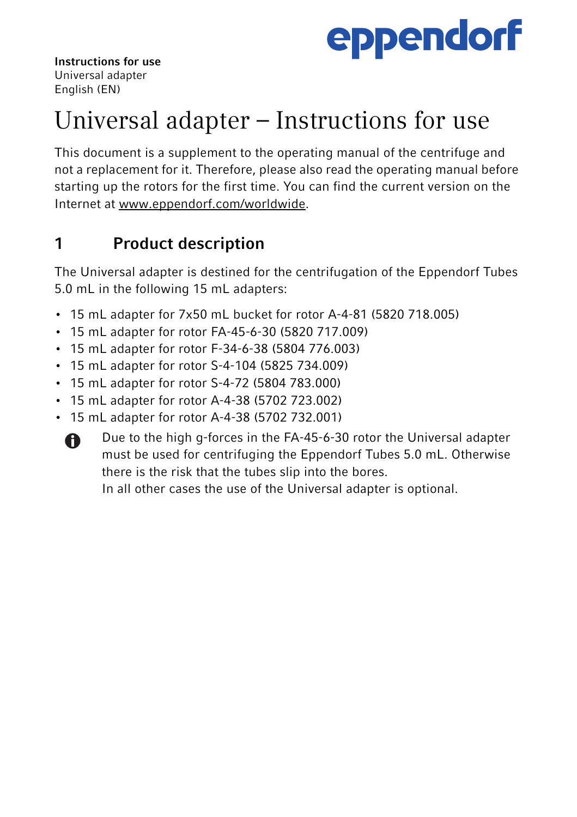

Instructions for use Universal adapter English (EN)

# Universal adapter – Instructions for use

This document is a supplement to the operating manual of the centrifuge and not a replacement for it. Therefore, please also read the operating manual before starting up the rotors for the first time. You can find the current version on the Internet at www.eppendorf.com/worldwide.

## 1 Product description

The Universal adapter is destined for the centrifugation of the Eppendorf Tubes 5.0 mL in the following 15 mL adapters:

- 15 mL adapter for 7x50 mL bucket for rotor A-4-81 (5820 718.005)
- 15 mL adapter for rotor FA-45-6-30 (5820 717.009)
- 15 mL adapter for rotor F-34-6-38 (5804 776.003)
- 15 mL adapter for rotor S-4-104 (5825 734.009)
- 15 mL adapter for rotor S-4-72 (5804 783.000)
- 15 mL adapter for rotor A-4-38 (5702 723.002)
- 15 mL adapter for rotor A-4-38 (5702 732.001)



Due to the high g-forces in the FA-45-6-30 rotor the Universal adapter must be used for centrifuging the Eppendorf Tubes 5.0 mL. Otherwise there is the risk that the tubes slip into the bores.

In all other cases the use of the Universal adapter is optional.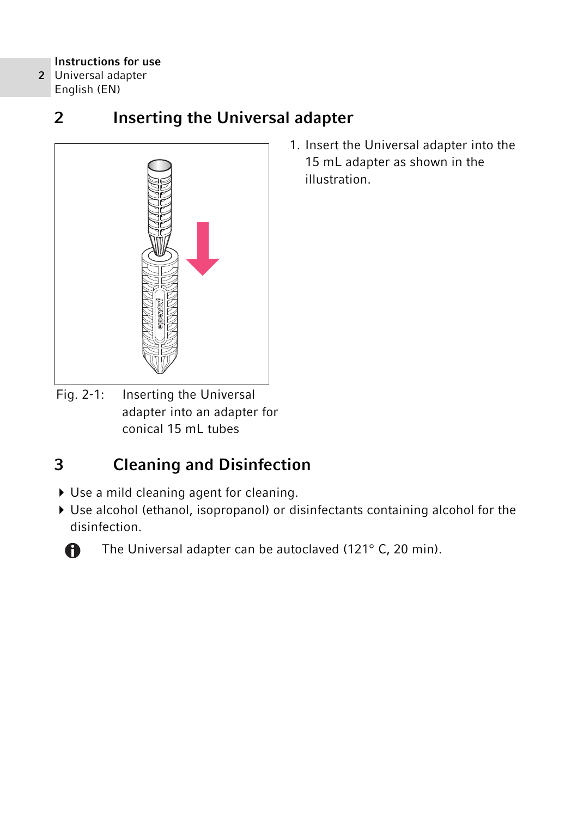#### Instructions for use

2 Universal adapter English (EN)

## 2 Inserting the Universal adapter



1. Insert the Universal adapter into the 15 mL adapter as shown in the illustration.

Fig. 2-1: Inserting the Universal adapter into an adapter for conical 15 mL tubes

# 3 Cleaning and Disinfection

- Use a mild cleaning agent for cleaning.
- Use alcohol (ethanol, isopropanol) or disinfectants containing alcohol for the disinfection.



The Universal adapter can be autoclaved (121° C, 20 min).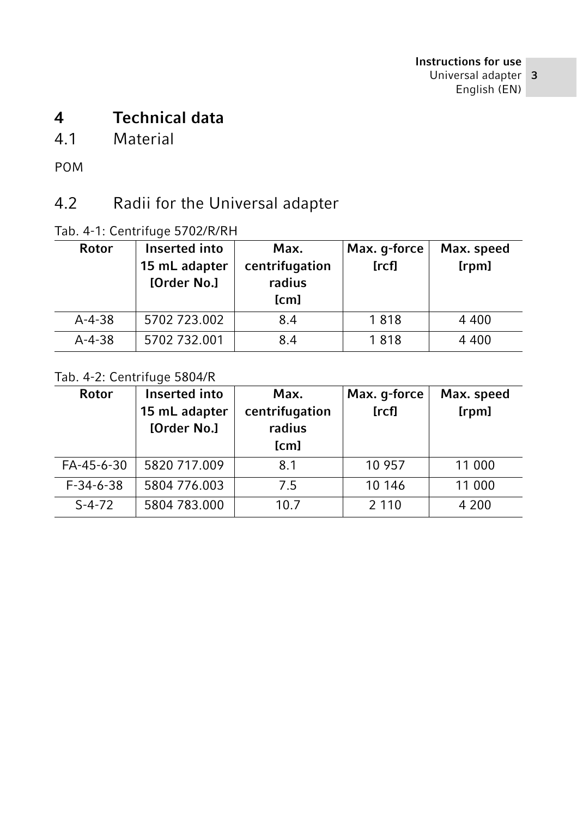## 4 Technical data

#### 4.1 Material

POM

## 4.2 Radii for the Universal adapter

#### Tab. 4-1: Centrifuge 5702/R/RH

| Rotor        | Inserted into<br>15 mL adapter<br>[Order No.] | Max.<br>centrifugation<br>radius<br>[cm] | Max. g-force<br>[rcf] | Max. speed<br>[rpm] |
|--------------|-----------------------------------------------|------------------------------------------|-----------------------|---------------------|
| $A - 4 - 38$ | 5702 723.002                                  | 8.4                                      | 1818                  | 4 4 0 0             |
| $A - 4 - 38$ | 5702 732.001                                  | 8.4                                      | 1818                  | 4 4 0 0             |

#### Tab. 4-2: Centrifuge 5804/R

| <b>Rotor</b>      | Inserted into<br>15 mL adapter<br>[Order No.] | Max.<br>centrifugation<br>radius<br>[cm] | Max. g-force<br>[rcf] | Max. speed<br>[rpm] |
|-------------------|-----------------------------------------------|------------------------------------------|-----------------------|---------------------|
| FA-45-6-30        | 5820 717.009                                  | 8.1                                      | 10 957                | 11 000              |
| $F - 34 - 6 - 38$ | 5804 776.003                                  | 7.5                                      | 10 14 6               | 11 000              |
| $S-4-72$          | 5804 783,000                                  | 10.7                                     | 2 1 1 0               | 4 200               |